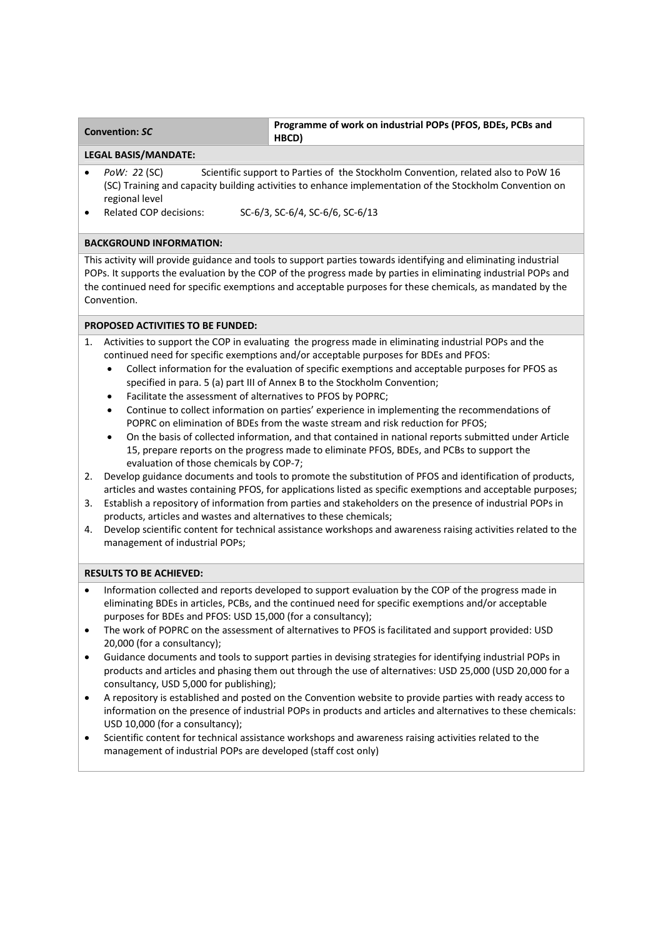| <b>Convention: SC</b> | Programme of work on industrial POPs (PFOS, BDEs, PCBs and<br>HBCD) |
|-----------------------|---------------------------------------------------------------------|
|                       |                                                                     |

## **LEGAL BASIS/MANDATE:**

- *PoW:* 22 (SC) Scientific support to Parties of the Stockholm Convention, related also to PoW 16 (SC) Training and capacity building activities to enhance implementation of the Stockholm Convention on regional level
- 

Related COP decisions: SC-6/3, SC-6/4, SC-6/6, SC-6/13

## **BACKGROUND INFORMATION:**

This activity will provide guidance and tools to support parties towards identifying and eliminating industrial POPs. It supports the evaluation by the COP of the progress made by parties in eliminating industrial POPs and the continued need for specific exemptions and acceptable purposes for these chemicals, as mandated by the Convention.

## **PROPOSED ACTIVITIES TO BE FUNDED:**

- 1. Activities to support the COP in evaluating the progress made in eliminating industrial POPs and the continued need for specific exemptions and/or acceptable purposes for BDEs and PFOS:
	- Collect information for the evaluation of specific exemptions and acceptable purposes for PFOS as specified in para. 5 (a) part III of Annex B to the Stockholm Convention;
	- Facilitate the assessment of alternatives to PFOS by POPRC;
	- Continue to collect information on parties' experience in implementing the recommendations of POPRC on elimination of BDEs from the waste stream and risk reduction for PFOS;
	- On the basis of collected information, and that contained in national reports submitted under Article 15, prepare reports on the progress made to eliminate PFOS, BDEs, and PCBs to support the evaluation of those chemicals by COP‐7;
- 2. Develop guidance documents and tools to promote the substitution of PFOS and identification of products, articles and wastes containing PFOS, for applications listed as specific exemptions and acceptable purposes;
- 3. Establish a repository of information from parties and stakeholders on the presence of industrial POPs in products, articles and wastes and alternatives to these chemicals;
- 4. Develop scientific content for technical assistance workshops and awareness raising activities related to the management of industrial POPs;

## **RESULTS TO BE ACHIEVED:**

- Information collected and reports developed to support evaluation by the COP of the progress made in eliminating BDEs in articles, PCBs, and the continued need for specific exemptions and/or acceptable purposes for BDEs and PFOS: USD 15,000 (for a consultancy);
- The work of POPRC on the assessment of alternatives to PFOS is facilitated and support provided: USD 20,000 (for a consultancy);
- Guidance documents and tools to support parties in devising strategies for identifying industrial POPs in products and articles and phasing them out through the use of alternatives: USD 25,000 (USD 20,000 for a consultancy, USD 5,000 for publishing);
- A repository is established and posted on the Convention website to provide parties with ready access to information on the presence of industrial POPs in products and articles and alternatives to these chemicals: USD 10,000 (for a consultancy);
- Scientific content for technical assistance workshops and awareness raising activities related to the management of industrial POPs are developed (staff cost only)